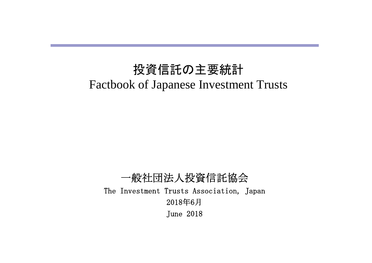# 投資信託の主要統計 Factbook of Japanese Investment Trusts

一般社団法人投資信託協会 The Investment Trusts Association, Japan 2018年6月 June 2018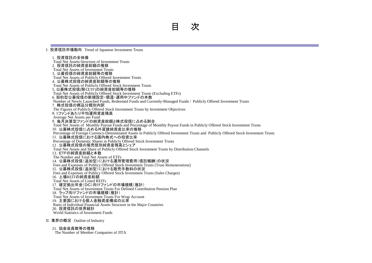Ⅰ.投資信託市場動向 Trend of Japanese Investment Trusts

1. 投資信託の全体像 Total Net Assets-Structure of Investment Trusts 2. 投資信託の純資産総額の推移 Total Net Assets of Investment Trusts 3.公募投信の純資産総額等の推移 Total Net Assets of Publicly Offered Investment Trusts 4.公募株式投信の純資産総額等の推移 Total Net Assets of Publicly Offered Stock Investment Trusts 5. 公募株式投信(除くETF)の純資産総額等の推移 Total Net Assets of Publicly Offered Stock Investment Trusts (Excluding ETFs) 6. 契約型公募投信の新規設定・償還・運用中ファンドの本数 Number of Newly Launched Funds, Redeemed Funds and Currently-Managed Funds / Publicly Offered Investment Trusts 7.株式投信の商品分類別内訳 The Figures of Publicly Offered Stock Investment Trusts by Investment Objectives 8. 1ファンドあたり平均運用資産残高 Average Net Assets per Fund 9.毎月決算型ファンドの純資産総額と株式投信に占める割合 Total Net Assets of Monthly Payout Funds and Percentage of Monthly Payout Funds in Publicly Offered Stock Investment Trusts 10.公募株式投信に占める外貨建純資産比率の推移 Percentage of Foreign Currency-Denominated Assets in Publicly Offered Investment Trusts and Publicly Offered Stock Investment Trusts 11.公募株式投信における国内株式への投資比率 Percentage of Domestic Shares in Publicly Offered Stock Investment Trusts 12. 公募株式投信の販売態別純資産残高とシェア Total Net Assets and Share of Publicly Offered Stock Investment Trusts by Distribution Channels 13.ETFの純資産総額と本数 The Number and Total Net Assets of ETFs 14.公募株式投信(追加型)における運用管理費用(信託報酬)の状況 Fees and Expenses of Publicy Offered Stock Investment Trusts (Trust Remunerations) - Costalidating Since of Lating Since Since Sident Investment -Fees and Expenses of Publicy Offered Stock Investment Trusts (Sales Charges) 16.上場REITの純資産総額 Total Net Assets of Listed REITs 17.確定拠出年金(DC)向けファンドの市場規模(推計) Total Net Assets of Investment Trusts For Defined Contribution Pension Plan 18.ラップ向けファンドの市場規模(推計) Total Net Assets of Investment Trusts For Wrap Account 19.主要国における個人金融資産構成の比率 Ratio of Individual Financial Assets Structure in the Major Countries 20.投資信託の世界統計 World Statistics of Investment Funds

Ⅱ.業界の概況 Outline of Industry

21. 協会会員数等の推移 The Number of Member Companies of JITA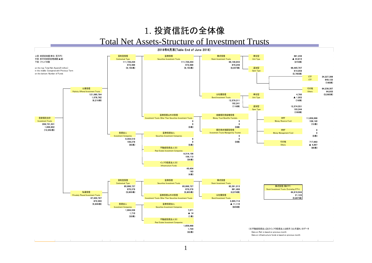## 1. 投資信託の全体像 Total Net Assets-Structure of Investment Trusts

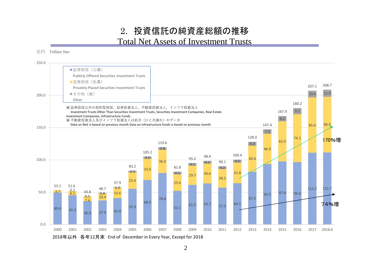## 2. 投資信託の純資産総額の推移 Total Net Assets of Investment Trusts



 $\mathcal{L}$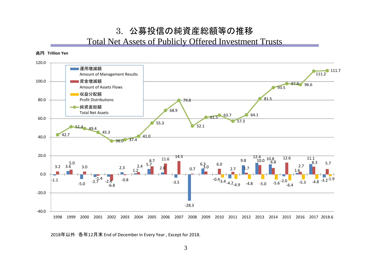## 3. 公募投信の純資産総額等の推移 Total Net Assets of Publicly Offered Investment Trusts



2018年以外 各年12月末 End of December in Every Year , Except for 2018.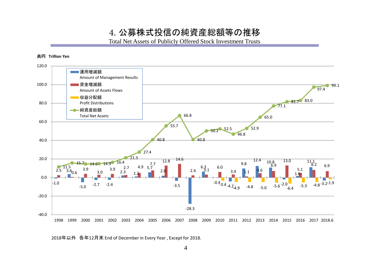4. 公募株式投信の純資産総額等の推移

Total Net Assets of Publicly Offered Stock Investment Trusts



2018年以外 各年12月末 End of December in Every Year , Except for 2018.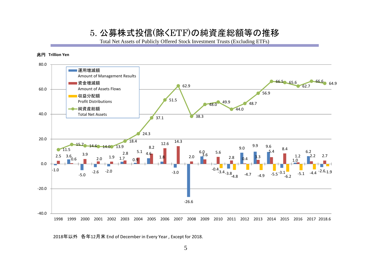## 5. 公募株式投信(除くETF)の純資産総額等の推移

Total Net Assets of Publicly Offered Stock Investment Trusts (Excluding ETFs)



2018年以外 各年12月末 End of December in Every Year , Except for 2018.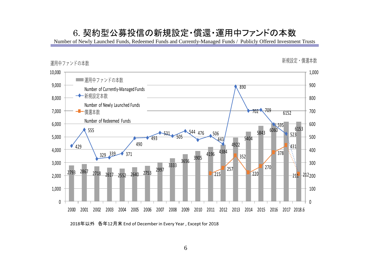## 6. 契約型公募投信の新規設定・償還・運用中ファンドの本数

Number of Newly Launched Funds, Redeemed Funds and Currently-Managed Funds / Publicly Offered Investment Trusts



年以外 各年12月末 End of December in Every Year , Except for 2018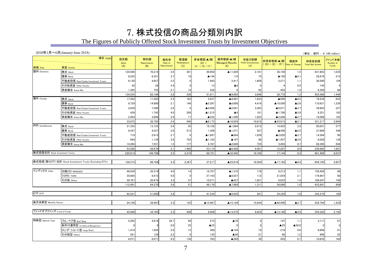## 7. 株式投信の商品分類別内訳

## The Figures of Publicly Offered Stock Investment Trusts by Investment Objectives

|                                | $2018 \text{#}1 \text{H} \sim 6 \text{H}$ (January-June 2018)                                                                                                                                                                                                                     |                     |                           |                               |                           |                                            |                                           |                                             |                                                       |                       | (単位:億円;¥ 100 million)            |                              |
|--------------------------------|-----------------------------------------------------------------------------------------------------------------------------------------------------------------------------------------------------------------------------------------------------------------------------------|---------------------|---------------------------|-------------------------------|---------------------------|--------------------------------------------|-------------------------------------------|---------------------------------------------|-------------------------------------------------------|-----------------------|----------------------------------|------------------------------|
| 地域 Area                        | 項目 ITEMS<br>資産 Assets                                                                                                                                                                                                                                                             | 設定額<br>Sales<br>(A) | 解約額<br>Repurchases<br>(B) | 解約率<br>Rate of<br>Repurchases | 償還額<br>Redemptions<br>(C) | 資金増減(▲)額<br>$(D) =$<br>$(A) - ((B) + (C))$ | 運用増減(▲)額<br><b>Managed Results</b><br>(E) | 収益分配額<br><b>Profit Distributions</b><br>(F) | 純資産増減(▲)額<br>$($ (D) + $(E)$ - $(F)$ ) Rate of Change | 増減率                   | 純資産総額<br><b>Total Net Assets</b> | ファンド本数<br>Number of<br>Funds |
| 国内 Domestic                    | 株式 Stock                                                                                                                                                                                                                                                                          | 120,566             | 70,314                    | 2.8                           | 301                       | 49,950                                     | ▲11,629                                   | 2,181                                       | 36,140                                                | 1.5                   | 431.603                          | 1,035                        |
|                                | 債券 Bond                                                                                                                                                                                                                                                                           | 6,225               | 6,351                     | 3.7                           | 18                        | ▲144                                       | 119                                       | 75                                          | ▲100                                                  | $\blacktriangle$ 0.1  | 28,879                           | 215                          |
|                                | 不動産投信 Real Estate Investment Trusts                                                                                                                                                                                                                                               | 6,120               | 4,657                     | 2.2                           |                           | 1,463                                      | 2,417                                     | 1,609                                       | 2,271                                                 | 1.1                   | 36.590                           | 126                          |
|                                | その他資産 Other Assets                                                                                                                                                                                                                                                                | 42                  | 29                        | 3.4                           |                           | 13                                         | $\blacktriangle 8$                        |                                             |                                                       | 0.5                   | 145                              |                              |
|                                | 資産複合 Asset Mix                                                                                                                                                                                                                                                                    | 1,302               | 755                       | 2.1                           | 19                        | 528                                        |                                           | 82                                          | 454                                                   | 1.2                   | 6,350                            | 66                           |
|                                |                                                                                                                                                                                                                                                                                   | 134,255             | 82,106                    | 2.8                           | 338                       | 51,811                                     | ▲9,093                                    | 3,948                                       | 38,770                                                | 1.3                   | 503,568                          | 1,446                        |
| 海外 Foreign                     | 株式 Stock                                                                                                                                                                                                                                                                          | 17,582              | 11,582                    | 2.4                           | 163                       | 5,837                                      | ▲4,901                                    | 1,833                                       | ▲896                                                  | $\triangle 0.2$       | 78,534                           | 852                          |
|                                | 債券 Bond                                                                                                                                                                                                                                                                           | 9,729               | 14,980                    | 2.1                           | 146                       | ▲5,397                                     | ▲8,688                                    | 4,416                                       | ▲18,500                                               | $\blacktriangle$ 2.6  | 110,631                          | 1,239                        |
|                                | 不動産投信 Real Estate Investment Trusts                                                                                                                                                                                                                                               | 2,830               | 7,390                     | 2.8                           | f                         | ▲4,566                                     | ▲2,041                                    | 3,363                                       | ▲9,971                                                | $\blacktriangle$ 3.7  | 39,603                           | 227                          |
|                                | その他資産 Other Assets                                                                                                                                                                                                                                                                | 439                 | 1,745                     | 4.0                           | 209                       | $\triangle$ 1,515                          | $\blacktriangle$ 4                        | 181                                         | ▲1,700                                                | $\blacktriangle$ 3.9  | 6,351                            | 183                          |
|                                | 資産複合 Asset Mix                                                                                                                                                                                                                                                                    | 2,493               | 3,008                     | 2.9                           | 17                        | ▲532                                       | ▲1,290                                    | 1,023                                       | ▲2,846                                                | $\blacktriangle$ 2.7  | 16,098                           | 193                          |
|                                |                                                                                                                                                                                                                                                                                   | 33.072              | 38,705                    | 2.4                           | 540                       | $\triangle 6,173$                          | ▲16,924                                   | 10,816                                      | ▲33,913                                               | $\blacktriangle$ 2.1  | 251,217                          | 2,694                        |
| 内外 InterNational               | 株式 Stock                                                                                                                                                                                                                                                                          | 31,335              | 13,152                    | 2.6                           | 55                        | 18,128                                     | ▲1,664                                    | 2,012                                       | 14,452                                                | 2.9                   | 90,031                           | 377                          |
|                                | 債券 Bond                                                                                                                                                                                                                                                                           | 6,347               | 4,527                     | 2.0                           | 512                       | 1,308                                      | ▲1,271                                    | 527                                         | ▲490                                                  | $\triangle$ 0.2       | 37,866                           | 346                          |
|                                | 不動産投信 Real Estate Investment Trusts                                                                                                                                                                                                                                               | 718                 | 2,615                     | 2.7                           | ſ                         | ▲1,897                                     | ▲684                                      | 1,039                                       | ▲3,620                                                | $\blacktriangle$ 3.7  | 14,364                           | 90                           |
|                                | その他資産 Other Assets                                                                                                                                                                                                                                                                | 694                 | 1,134                     | 2.8                           | 752                       | ▲1,192                                     | ▲167                                      | 98                                          | ▲1,457                                                | $\blacktriangle$ 3.6  | 6,029                            | 136                          |
|                                | 資産複合 Asset Mix                                                                                                                                                                                                                                                                    | 14,494              | 7,551                     | 1.5                           | 177                       | 6,767                                      | $\blacktriangle$ 2,640                    | 725                                         | 3,403                                                 | 0.7                   | 88,395                           | 948                          |
|                                |                                                                                                                                                                                                                                                                                   | 53,588              | 28,979                    | 2.1                           | 1,495                     | 23,114                                     | ▲6,426                                    | 4,401                                       | 12,287                                                | 0.9                   | 236,685                          | 1,897                        |
| 株式投信合計 Stock Investment Trusts |                                                                                                                                                                                                                                                                                   | 220,914             | 149,789                   | 2.5                           | 2,374                     | 68,751                                     | ▲32,442                                   | 19,165                                      | 17,144                                                | 0.3                   | 991,469                          | 6,037                        |
|                                |                                                                                                                                                                                                                                                                                   |                     |                           |                               |                           |                                            |                                           |                                             |                                                       |                       |                                  |                              |
|                                | 株式投信(除 <etf) (excluding="" etfs)<="" investment="" stock="" td="" trusts="" 合計=""><td>128,373</td><td>98,789</td><td>2.5</td><td>2,367</td><td>27,217</td><td>▲25,818</td><td>18,584</td><td>▲17,185</td><td><math>\triangle 0.4</math></td><td>649,195</td><td>5,857</td></etf)> | 128,373             | 98,789                    | 2.5                           | 2,367                     | 27,217                                     | ▲25,818                                   | 18,584                                      | ▲17,185                                               | $\triangle 0.4$       | 649,195                          | 5,857                        |
| インデックス Index                   | 日経225 NIKKEI225                                                                                                                                                                                                                                                                   | 46,039              | 35,319                    | 4.0                           | 14                        | 10,707                                     | $\blacktriangle$ 1,316                    | 178                                         | 9,213                                                 | 1.1                   | 150,426                          | 89                           |
|                                | <b>TOPIX TOPIX</b>                                                                                                                                                                                                                                                                | 35,665              | 8,473                     | 0.8                           | $\Omega$                  | 27,193                                     | ▲6,027                                    | 112                                         | 21,054                                                | 2.1                   | 176.967                          | 80                           |
|                                | その他 Others                                                                                                                                                                                                                                                                        | 30,787              | 20,479                    | 3.3                           | 37                        | 10,271                                     | ▲627                                      | 1,021                                       | 8,623                                                 | 1.4                   | 106,547                          | 740                          |
|                                |                                                                                                                                                                                                                                                                                   | 112,491             | 64,270                    | 2.6                           | 51                        | 48,170                                     | ▲7,969                                    | 1,311                                       | 38,890                                                | 1.6                   | 433,941                          | 909                          |
|                                |                                                                                                                                                                                                                                                                                   |                     |                           |                               |                           |                                            |                                           |                                             |                                                       |                       |                                  |                              |
| ETF ETF                        |                                                                                                                                                                                                                                                                                   | 92,541              | 51,000                    | 2.6                           | 7 <sup>1</sup>            | 41,534                                     | $\blacktriangle 6,625$                    | 581                                         | 34,329                                                | 1.8                   | 342,274                          | 180                          |
| 毎月決算型 Monthly Payout           |                                                                                                                                                                                                                                                                                   | 24,105              | 39,467                    | 2.3                           | 125                       | ▲15,487                                    | ▲15,159                                   | 15,844                                      | ▲46,490                                               | $\triangle 2.7$       | 259,784                          | 1,432                        |
|                                |                                                                                                                                                                                                                                                                                   |                     |                           |                               |                           |                                            |                                           |                                             |                                                       |                       |                                  |                              |
| ファンドオブファンズ Fund of Funds       |                                                                                                                                                                                                                                                                                   | 45,099              | 34,785                    | 2.3                           | 409                       | 9,906                                      | ▲13,272                                   | 9,824                                       | ▲13,190                                               | $\blacktriangle 0.9$  | 250,383                          | 2,182                        |
| 特殊型 Special Type               | ブル・ベア型 Bull/Bear                                                                                                                                                                                                                                                                  | 5,292               | 4,919                     | 26.7                          | 99                        | 273                                        | $\blacktriangle$ 76                       |                                             | 197                                                   | 1.1                   | 3,171                            | 61                           |
|                                | 条件付運用型 Conditional Management                                                                                                                                                                                                                                                     |                     | $\Omega$                  | 0.0                           | 25                        | $\triangle$ 25                             |                                           |                                             | $\blacktriangle$ 25                                   | $\blacktriangle$ 50.0 |                                  | $\Omega$                     |
|                                | ロング・ショート型 Long/Short                                                                                                                                                                                                                                                              | 1,418               | 1,026                     | 2.6                           | 12                        | 380                                        | ▲144                                      | 18                                          | 218                                                   | 0.6                   | 6,696                            | 81                           |
|                                | その他型 Others                                                                                                                                                                                                                                                                       | 261                 | 126                       | 2.2                           | $\Omega$                  | 135                                        | $\blacktriangle$ 48                       | 21                                          | 66                                                    | 1.2                   | 968                              | 22                           |
|                                |                                                                                                                                                                                                                                                                                   | 6.971               | 6.071                     | 9.5                           | 138                       | 763                                        | ▲268                                      | 39                                          | 455                                                   | 0.7                   | 10,835                           | 164                          |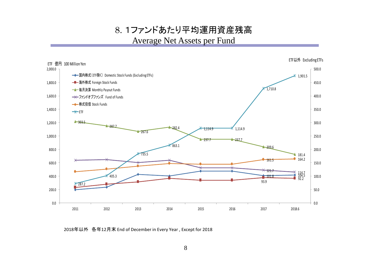8. 1ファンドあたり平均運用資産残高 Average Net Assets per Fund



2018年以外 各年12月末 End of December in Every Year , Except for 2018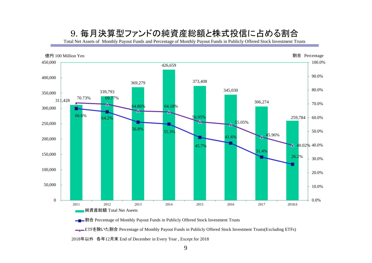## 9. 毎月決算型ファンドの純資産総額と株式投信に占める割合

Total Net Assets of Monthly Payout Funds and Percentage of Monthly Payout Funds in Publicly Offered Stock Investment Trusts



**■■■割合** Percentage of Monthly Payout Funds in Publicly Offered Stock Investment Trusts

■■ETFを除いた割合 Percentage of Monthly Payout Funds in Publicly Offered Stock Investment Trusts(Excluding ETFs)

2018年以外 各年12月末 End of December in Every Year , Except for 2018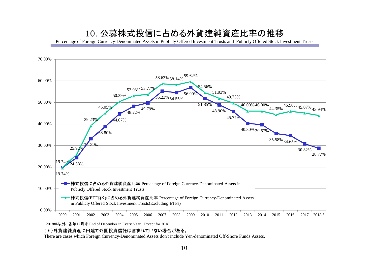## 10. 公募株式投信に占める外貨建純資産比率の推移

Percentage of Foreign Currency-Denominated Assets in Publicly Offered Investment Trusts and Publicly Offered Stock Investment Trusts



### (\*)外貨建純資産に円建て外国投資信託は含まれていない場合がある。

There are cases which Foreign Currency-Denominated Assets don't include Yen-denominated Off-Shore Funds Assets.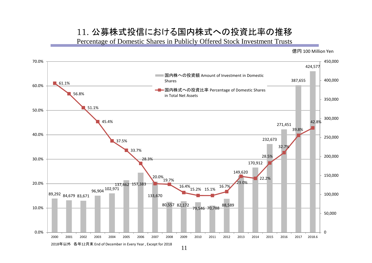## 11. 公募株式投信における国内株式への投資比率の推移

Percentage of Domestic Shares in Publicly Offered Stock Investment Trusts

億円 100 Million Yen

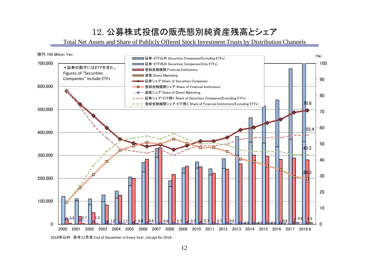# 12. 公募株式投信の販売態別純資産残高とシェア

Total Net Assets and Share of Publicly Offered Stock Investment Trusts by Distribution Channels



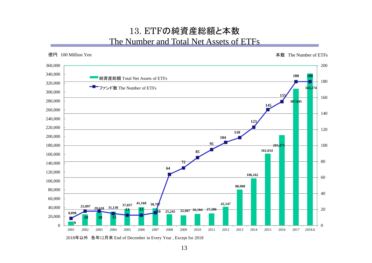## 13. ETFの純資産総額と本数 The Number and Total Net Assets of ETFs



2018年以外 各年12月末 End of December in Every Year , Except for 2018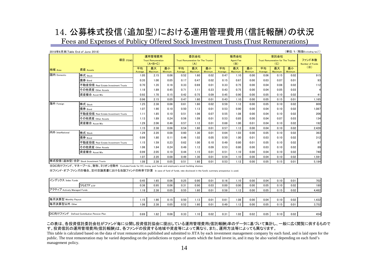# 14. 公募株式投信(追加型)における運用管理費用(信託報酬)の状況

Fees and Expenses of Publicy Offered Stock Investment Trusts (Trust Remunerations)

| (単位:% (税抜Excluding tax))<br>2018年6月末(Table End of June 2018) |                                     |               |                                                  |                      |               |                                                   |               |               |                                 |                      |               |                                                          |               |                           |
|--------------------------------------------------------------|-------------------------------------|---------------|--------------------------------------------------|----------------------|---------------|---------------------------------------------------|---------------|---------------|---------------------------------|----------------------|---------------|----------------------------------------------------------|---------------|---------------------------|
| 項目 ITEMS                                                     |                                     |               | 運用管理費用<br><b>Trust Remuneration</b><br>$(A+B+C)$ |                      |               | 委託会社<br>Trust Remuneration for The Trustor<br>(A) |               |               | 販売会社<br><b>Agent Fee</b><br>(B) |                      |               | 受託会社<br><b>Trust Remuneration for The Trustee</b><br>(C) |               | ファンド本数<br>Number of Funds |
| 地域 Area                                                      | 資産 Assets                           | 平均<br>Average | 最大<br>Maximum                                    | 最小<br><b>Minimum</b> | 平均<br>Average | 最大<br>Maximum                                     | 最小<br>Minimum | 平均<br>Average | 最大<br>Maximum                   | 最小<br><b>Minimum</b> | 平均<br>Average | 最大<br>Maximum                                            | 最小<br>Minimum | (X)                       |
| 国内 Domestic                                                  | 株式 Stock                            | 1.05          | 2.15                                             | 0.06                 | 0.52          | 1.60                                              | 0.02          | 0.47          | 1.10                            | 0.00                 | 0.06          | 0.15                                                     | 0.02          | 915                       |
|                                                              | 債券 Bond                             | 0.35          | 1.00                                             | 0.05                 | 0.17          | 0.47                                              | 0.02          | 0.15          | 0.67                            | 0.00                 | 0.03          | 0.07                                                     | 0.01          | 93                        |
|                                                              | 不動産投信 Real Estate Investment Trusts | 0.70          | 1.35                                             | 0.16                 | 0.33          | 0.69                                              | 0.01          | 0.33          | 0.75                            | 0.00                 | 0.04          | 0.08                                                     | 0.02          | 112                       |
|                                                              | その他資産 Other Assets                  | 1.18          | 1.89                                             | 0.45                 | 0.71          | 1.11                                              | 0.23          | 0.43          | 0.75                            | 0.00                 | 0.04          | 0.05                                                     | 0.03          |                           |
|                                                              | 資産複合 Asset Mix                      | 0.92          | 1.70                                             | 0.15                 | 0.42          | 0.75                                              | 0.09          | 0.45          | 0.90                            | 0.00                 | 0.05          | 0.10                                                     | 0.02          | 41                        |
|                                                              |                                     | 0.96          | 2.15                                             | 0.05                 | 0.47          | 1.60                                              | 0.01          | 0.43          | 1.10                            | 0.00                 | 0.05          | 0.15                                                     | 0.01          | 1,165                     |
| 海外 Foreign                                                   | 株式 Stock                            | 1.25          | 2.38                                             | 0.06                 | 0.61          | 1.60                                              | 0.02          | 0.59          | 1.12                            | 0.00                 | 0.05          | 0.10                                                     | 0.02          | 809                       |
|                                                              | 債券 Bond                             | 1.07          | 1.90                                             | 0.10                 | 0.50          | 1.13                                              | 0.01          | 0.53          | 0.90                            | 0.00                 | 0.04          | 0.10                                                     | 0.02          | 1,087                     |
|                                                              | 不動産投信 Real Estate Investment Trusts | 1.11          | 1.85                                             | 0.10                 | 0.51          | 1.06                                              | 0.07          | 0.55          | 1.08                            | 0.00                 | 0.04          | 0.10                                                     | 0.02          | 206                       |
|                                                              | その他資産 Other Assets                  | 1.13          | 1.89                                             | 0.24                 | 0.56          | 1.09                                              | 0.01          | 0.53          | 0.85                            | 0.00                 | 0.04          | 0.07                                                     | 0.03          | 134                       |
|                                                              | 資産複合 Asset Mix                      | 1.29          | 2.06                                             | 0.46                 | 0.57          | 1.12                                              | 0.01          | 0.68          | 1.00                            | 0.01                 | 0.04          | 0.10                                                     | 0.02          | 192                       |
|                                                              |                                     | 1.15          | 2.38                                             | 0.06                 | 0.54          | 1.60                                              | 0.01          | 0.57          | 1.12                            | 0.00                 | 0.04          | 0.10                                                     | 0.02          | 2,428                     |
| 内外 InterNational                                             | 株式 Stock                            | 1.29          | 2.20                                             | 0.08                 | 0.60          | 1.30                                              | 0.01          | 0.64          | 1.03                            | 0.00                 | 0.05          | 0.10                                                     | 0.02          | 363                       |
|                                                              | 債券 Bond                             | 0.99          | 1.80                                             | 0.11                 | 0.46          | 1.02                                              | 0.05          | 0.50          | 1.00                            | 0.01                 | 0.03          | 0.10                                                     | 0.02          | 312                       |
|                                                              | 不動産投信 Real Estate Investment Trusts | 1.15          | 1.59                                             | 0.23                 | 0.62          | 1.00                                              | 0.10          | 0.49          | 0.80                            | 0.01                 | 0.05          | 0.10                                                     | 0.02          | 87                        |
|                                                              | その他資産 Other Assets                  | 1.06          | 1.84                                             | 0.24                 | 0.49          | 1.12                                              | 0.09          | 0.53          | 0.80                            | 0.00                 | 0.03          | 0.10                                                     | 0.02          | 89                        |
|                                                              | 資産複合 Asset Mix                      | 0.99          | 2.05                                             | 0.10                 | 0.44          | 1.15                                              | 0.01          | 0.51          | 1.10                            | 0.00                 | 0.04          | 0.10                                                     | 0.02          | 740                       |
|                                                              |                                     | 1.07          | 2.20                                             | 0.08                 | 0.49          | 1.30                                              | 0.01          | 0.54          | 1.10                            | 0.00                 | 0.04          | 0.10                                                     | 0.02          | 1,591                     |
|                                                              | 株式投信(追加型)合計 Stock Investment Trusts | 1.08          | 2.38                                             | 0.05                 | 0.51          | 1.60                                              | 0.01          | 0.53          | 1.12                            | 0.00                 | 0.05          | 0.15                                                     | 0.01          | 5,184                     |

※DC向けファンド、マネープール、財形、ミリオンを除外 Excluded funds for DC, money pool funds and employee's asset-building shemes.

※ファンド・オブ・ファンズの場合、交付目論見書における当該ファンドの料率で計算 In case of fund of funds, rate disclosed in the fund's summary prospectus is used.

| インデックス Index Funds                         | 0.45 | 1.65 | 0.06 | 0.25 | 0.90 | 0.01 | 0.16 | $1.10$ $^{\circ}$ | 0.00 | 0.04 | 0.10 | 0.01 | 702   |
|--------------------------------------------|------|------|------|------|------|------|------|-------------------|------|------|------|------|-------|
| うちETF <sub>ETF</sub>                       | 0.36 | 0.95 | 0.06 | 0.31 | 0.90 | 0.03 | 0.00 | 0.00              | 0.00 | 0.05 | 0.10 | 0.02 | 180   |
| アクティブ Actively Managed Funds               |      | 2.38 | 0.05 | 0.55 | 1.60 | 0.01 | 0.58 | 1.12              | 0.00 | 0.05 | 0.15 | 0.02 | 4,482 |
|                                            |      |      |      |      |      |      |      |                   |      |      |      |      |       |
| 毎月決算型 Monthly Payout                       | 1.15 | 1.90 | 0.15 | 0.50 | 1.13 | 0.01 | 0.61 | 1.08              | 0.00 | 0.04 | 0.10 | 0.02 | .432  |
| 每月決算型以外 Other                              | 1.06 | 2.38 | 0.05 | 0.52 | 1.60 | 0.01 | 0.49 | 1.12 <sub>1</sub> | 0.00 | 0.05 | 0.15 | 0.01 | 3,752 |
|                                            |      |      |      |      |      |      |      |                   |      |      |      |      |       |
| DC向けファンド Defined Contribution Pension Plan | 0.69 | 1.82 | 0.06 | 0.33 | 1.10 | 0.02 | 0.31 | 1.02              | 0.02 | 0.05 | 0.10 | 0.02 | 454   |

#### この表は、各投資信託委託会社がファンド毎に公開し投資信託協会に提出している運用管理費用(信託報酬)率のデータに基づいて集計し、一般に広く閲覧に供するもので す。投資信託の運用管理費用(信託報酬)は、各ファンドの投資する地域や資産等によって異なり、また、運用方法等によっても異なります。

This table is calculated based on the data of trust remuneration published and submitted to JITA by each investment management company by each fund, and is laid open for the public. The trust remuneration may be varied depending on the jurisdictions or types of assets which the fund invest in, and it may be also varied depending on each fund's management policy.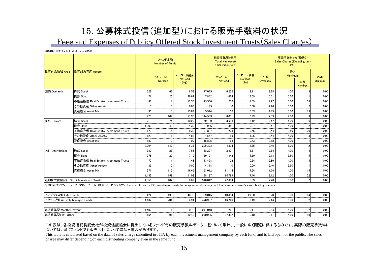## 15. 公募株式投信(追加型)における販売手数料の状況 Fees and Expenses of Publicy Offered Stock Investment Trusts(Sales Charges)

2018年6月末(Table End of June 2018)

|                  |                                     |       | ファンド本数<br>Number of Funds |                         |         | 純資産総額(億円)<br><b>Total Net Assets</b><br>$(100 \text{ million yen})$ |                            | 販売手数料(%(税抜))<br>Sales Charge (Excluding tax)<br>(96) |                      |                     |                                                                                                                                                                                                                                                                                                                                                                                                                                                                                    |  |
|------------------|-------------------------------------|-------|---------------------------|-------------------------|---------|---------------------------------------------------------------------|----------------------------|------------------------------------------------------|----------------------|---------------------|------------------------------------------------------------------------------------------------------------------------------------------------------------------------------------------------------------------------------------------------------------------------------------------------------------------------------------------------------------------------------------------------------------------------------------------------------------------------------------|--|
| 投資対象地域 Area      | 投資対象資産 Assets                       |       | うちノーロード                   | ノーロード割合<br>No-load      |         | うちノーロード<br>No-load                                                  | ノーロード割合<br>No-load<br>(96) | 平均<br>Average                                        | 最大<br><b>Maximum</b> |                     | 最小                                                                                                                                                                                                                                                                                                                                                                                                                                                                                 |  |
|                  |                                     |       | No-load                   | (96)                    |         |                                                                     |                            |                                                      |                      | 本数<br><b>Number</b> | Minimum                                                                                                                                                                                                                                                                                                                                                                                                                                                                            |  |
| 国内 Domestic      | 株式 Stock                            | 722   | 62                        | 8.59                    | 77.075  | 6.252                                                               | 8.11                       | 2.28                                                 | 4.00                 |                     | 0.00<br><b>CONTRACTOR</b>                                                                                                                                                                                                                                                                                                                                                                                                                                                          |  |
|                  | 債券 Bond                             |       | 26                        | 36.62<br>------         | 7.832   | 1.464                                                               | 18.69                      | 0.51                                                 | 3.00                 |                     | 0.00<br>$\frac{1}{2} \left( \frac{1}{2} \right) \left( \frac{1}{2} \right) \left( \frac{1}{2} \right) \left( \frac{1}{2} \right) \left( \frac{1}{2} \right) \left( \frac{1}{2} \right) \left( \frac{1}{2} \right) \left( \frac{1}{2} \right) \left( \frac{1}{2} \right) \left( \frac{1}{2} \right) \left( \frac{1}{2} \right) \left( \frac{1}{2} \right) \left( \frac{1}{2} \right) \left( \frac{1}{2} \right) \left( \frac{1}{2} \right) \left( \frac{1}{2} \right) \left( \frac$ |  |
|                  | 不動産投信 Real Estate Investment Trusts | 88    |                           | 12.50                   | 23,566  | 257                                                                 | 1.09                       | 1.97                                                 | 3.00                 |                     | 0.00<br><b>CONTRACTOR</b>                                                                                                                                                                                                                                                                                                                                                                                                                                                          |  |
|                  | その他資産 Other Assets                  |       |                           | 0.00                    | 145     |                                                                     | 0.00                       | 2.26                                                 | 3.00                 |                     | 0.00                                                                                                                                                                                                                                                                                                                                                                                                                                                                               |  |
|                  | 資産複合 Asset Mix                      | 36    |                           | 13.89                   | 5.914   | 37                                                                  | 0.63                       | 1.79                                                 | 3.00                 | 19                  | 0.00                                                                                                                                                                                                                                                                                                                                                                                                                                                                               |  |
|                  |                                     | 920   | 104                       | 11.30                   | 114.533 | 8.011                                                               | 6.99                       | 2.09                                                 | 4.00                 |                     | 0.00                                                                                                                                                                                                                                                                                                                                                                                                                                                                               |  |
| 海外 Foreign       | 株式 Stock<br>.                       | 719   | 74                        | 10.29<br><b>Service</b> | 59.109  | 3.618                                                               | 6.12                       | 2.47                                                 | 4.00                 |                     | 0.00<br><b>Services</b>                                                                                                                                                                                                                                                                                                                                                                                                                                                            |  |
|                  | 債券 Bond                             | 1.000 | 43                        | 4.30                    | 87.936  | 851                                                                 | 0.97                       | 2.41                                                 | 5.00                 |                     | 0.00<br><b>Contract</b>                                                                                                                                                                                                                                                                                                                                                                                                                                                            |  |
|                  | 不動産投信 Real Estate Investment Trusts | 179   | 15                        | 8.38                    | 37.837  | 208                                                                 | 0.55                       | 2.44                                                 | 3.50                 | 30                  | 0.00                                                                                                                                                                                                                                                                                                                                                                                                                                                                               |  |
|                  | その他資産 Other Assets                  | 123   | ĥ                         | 4.88                    | 4.547   | 89                                                                  | 1.96                       | 2.44                                                 | 4.00                 |                     | 0.00                                                                                                                                                                                                                                                                                                                                                                                                                                                                               |  |
|                  | 資産複合 Asset Mix                      | 183   |                           | 1.09                    | 15.895  | 68                                                                  | 0.43                       | 2.68                                                 | 4.00                 |                     | 0.00                                                                                                                                                                                                                                                                                                                                                                                                                                                                               |  |
|                  |                                     | 2.204 | 140                       | 6.35                    | 205.323 | 4.834                                                               | 2.35                       | 2.46                                                 | 5.00                 |                     | 0.00                                                                                                                                                                                                                                                                                                                                                                                                                                                                               |  |
| 内外 InterNational | 株式 Stock                            | 330   | 25                        | 7.58                    | 88.207  | 2,301                                                               | 2.61                       | 2.64                                                 | 4.00                 |                     | 0.00<br><b>CONTRACTOR</b>                                                                                                                                                                                                                                                                                                                                                                                                                                                          |  |
|                  | 債券 Bond                             | 278   | 20                        | 7.19                    | 29.171  | 1,342                                                               | 4.60                       | 2.13                                                 | 3.50                 |                     | 0.00<br><b>CONTRACTOR</b>                                                                                                                                                                                                                                                                                                                                                                                                                                                          |  |
|                  | 不動産投信 Real Estate Investment Trusts | 70    |                           | 1.43                    | 13.478  | 32                                                                  | 0.24                       | 2.86                                                 | 4.00                 |                     | 0.00                                                                                                                                                                                                                                                                                                                                                                                                                                                                               |  |
|                  | その他資産 Other Assets                  | 83    | $\mathbf{0}$              | 0.00                    | 4.318   | $\Omega$                                                            | 0.00                       | 2.40                                                 | 3.50                 |                     | 0.00                                                                                                                                                                                                                                                                                                                                                                                                                                                                               |  |
|                  | 資産複合 Asset Mix                      | 671   | 112                       | 16.69                   | 63.012  | 11.114                                                              | 17.64                      | 1.74                                                 | 4.00                 | 14                  | 0.00                                                                                                                                                                                                                                                                                                                                                                                                                                                                               |  |
|                  |                                     | 1.432 | 158                       | 11.03                   | 198.187 | 14.789                                                              | 7.46                       | 2.12                                                 | 4.00                 | 22                  | 0.00                                                                                                                                                                                                                                                                                                                                                                                                                                                                               |  |
|                  | 追加株式投信合計 Stock Investment Trusts    | 4.556 | 402                       | 8.82                    | 518.042 | 27.634                                                              | 5.33                       | 2.28                                                 | 5.00                 |                     | 0.00                                                                                                                                                                                                                                                                                                                                                                                                                                                                               |  |

※DC向けファンド、ラップ、マネープール、財形、ミリオンを除外 Excluded funds for DC, investment trusts for wrap account, money pool funds and employee's asset-building shemes.

| インデックス型 Index Funds<br>.      | 424<br>. | 98  | 46.70 | 39.045  | 10.894 | 27.90         | 0.70  | 3.00 | 0.00        |
|-------------------------------|----------|-----|-------|---------|--------|---------------|-------|------|-------------|
| アクティブ型 Actively Managed Funds | 4.132    | 204 | 4.94  | 478.997 | 16.740 | 3.49          | 2.44  | 5.00 | $0.00 \, .$ |
|                               |          |     |       |         |        |               |       |      |             |
| 毎月決算型 Monthly Payout          | .402     |     | 0.78  | 247.048 | 261    | $0.1^{\circ}$ | 2.64  | 5.00 | 0.00        |
| 毎月決算型以外 Other                 | 3.154    | 391 | 12.40 | 270.995 | 27.372 | 10.10         | Z. L' | 4.00 | 0.00        |

#### この表は、各投資信託委託会社が投資信託協会に提出しているファンド毎の販売手数料データに基づいて集計し、一般に広く閲覧に供するものです。実際の販売手数料に ついては、同じファンドでも販売会社によって異なる場合があります。

This table is calculated based on the data of sales charge submitted to JITA by each investment management company by each fund, and is laid open for the public. The sales charge may differ depending on each distributing company even in the same fund.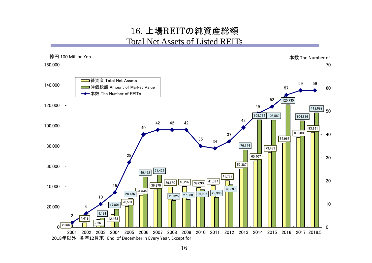## 16. 上場REITの純資産総額 Total Net Assets of Listed REITs

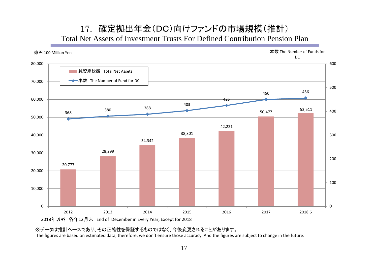## 17. 確定拠出年金(DC)向けファンドの市場規模(推計) Total Net Assets of Investment Trusts For Defined Contribution Pension Plan



※データは推計ベースであり、その正確性を保証するものではなく、今後変更されることがあります。

The figures are based on estimated data, therefore, we don't ensure those accuracy. And the figures are subject to change in the future.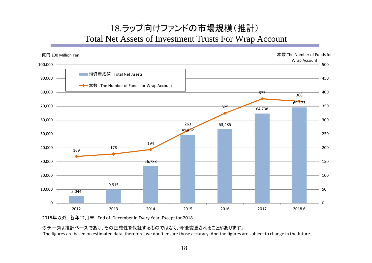# 18.ラップ向けファンドの市場規模(推計) Total Net Assets of Investment Trusts For Wrap Account



2018年以外 各年12月末 End of December in Every Year, Except for 2018

## ※データは推計ベースであり、その正確性を保証するものではなく、今後変更されることがあります。

The figures are based on estimated data, therefore, we don't ensure those accuracy. And the figures are subject to change in the future.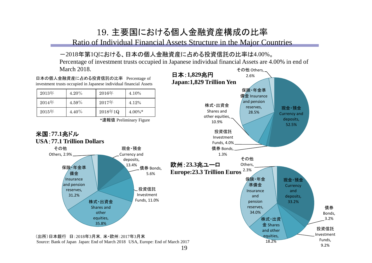## 19. 主要国における個人金融資産構成の比率

Ratio of Individual Financial Assets Structure in the Major Countries

## -2018年第1Qにおける、日本の個人金融資産に占める投資信託の比率は4.00%。

その他 Others, Percentage of investment trusts occupied in Japanese individual financial Assets are 4.00% in end of March 2018.

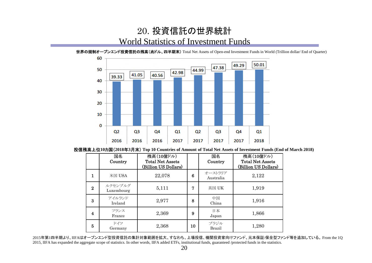## 20. 投資信託の世界統計 World Statistics of Investment Funds

世界の規制オープンエンド投資信託の残高(兆ドル、四半期末) Total Net Assets of Open-end Investment Funds in World (Trillion dollar/ End of Quarter)

![](_page_21_Figure_2.jpeg)

### 投信残高上位**10**カ国(**2018**年**3**月末) **Top 10 Countries of Amount of Total Net Assets of Investment Funds (End of March 2018)**

|                    | 国名<br>Country         | 残高(10億ドル)<br><b>Total Net Assets</b><br>(Billion US Dollars) |    | 国名<br>Country        | 残高(10億ドル)<br><b>Total Net Assets</b><br>(Billion US Dollars) |
|--------------------|-----------------------|--------------------------------------------------------------|----|----------------------|--------------------------------------------------------------|
| 1                  | 米国 $USA$              | 22,078                                                       | 6  | オーストラリア<br>Australia | 2,122                                                        |
| $\bf{2}$           | ルクセンブルグ<br>Luxembourg | 5,111                                                        | 7  | 英国 UK                | 1,919                                                        |
| 3                  | アイルランド<br>Ireland     | 2,977                                                        | 8  | 中国<br>China          | 1,916                                                        |
| $\overline{\bf 4}$ | フランス<br>France        | 2,369                                                        | 9  | 日本<br>Japan          | 1,866                                                        |
| 5                  | ドイツ<br>Germany        | 2,368                                                        | 10 | ブラジル<br>Brazil       | 1,280                                                        |

2015年第1四半期より、IIFAはオープンエンド型投資信託の集計対象範囲を拡大、すなわち、上場投信、機関投資家向けファンド、元本保証/保全型ファンド等を追加している。 From the 1Q 2015, IIFA has expanded the aggregate scope of statistics. In other words, IIFA added ETFs, institutional funds, guaranteed /protected funds in the statistics.